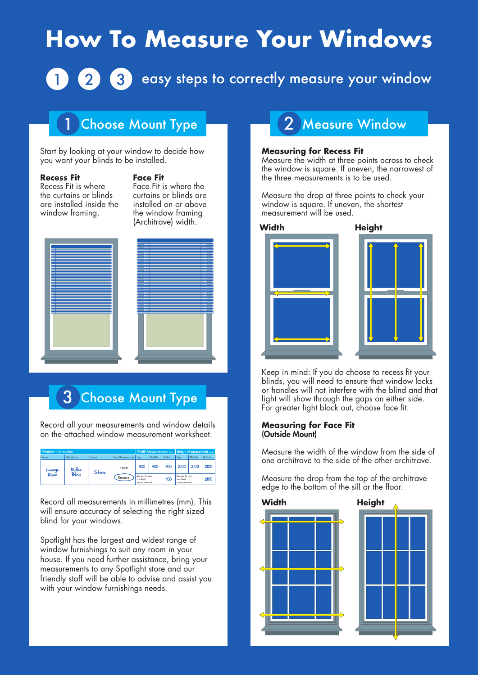# **How To Measure Your Windows**

# 3 easy steps to correctly measure your window

### **Choose Mount Type**

Start by looking at your window to decide how you want your blinds to be installed.

#### **Recess Fit**

#### **Face Fit**

Recess Fit is where the curtains or blinds are installed inside the window framing.

Face Fit is where the curtains or blinds are installed on or above the window framing (Architrave) width. **Width Height**



## 3 Choose Mount Type

Record all your measurements and window details on the attached window measurement worksheet.

| <b>Window Information</b> |                   |        |                    | Width Measurements (mm)   Height Measurements (mm) |        |        |                                            |        |        |
|---------------------------|-------------------|--------|--------------------|----------------------------------------------------|--------|--------|--------------------------------------------|--------|--------|
| Room                      | <b>Blind Type</b> | Colour | Face/Recess icidal | Too                                                | Middle | Bottom | Top                                        | Middle | Bottom |
| Lounge<br>Room            | Roller<br>Blind   | Stone  | Face<br>Recess     | 900                                                | 900    | 900    | 2105                                       | 2103   | 2100   |
|                           |                   |        |                    | Recess fit use<br>smallest<br>measurement:         |        | 900    | Recess fit use<br>smallest<br>measurement: |        | 2100   |

Record all measurements in millimetres (mm). This will ensure accuracy of selecting the right sized blind for your windows.

Spotlight has the largest and widest range of window furnishings to suit any room in your house. If you need further assistance, bring your measurements to any Spotlight store and our friendly staff will be able to advise and assist you with your window furnishings needs.

### 2 Measure Window

#### **Measuring for Recess Fit**

Measure the width at three points across to check the window is square. If uneven, the narrowest of the three measurements is to be used.

Measure the drop at three points to check your window is square. If uneven, the shortest measurement will be used.







Keep in mind: If you do choose to recess fit your blinds, you will need to ensure that window locks or handles will not interfere with the blind and that light will show through the gaps on either side. For greater light block out, choose face fit.

#### **Measuring for Face Fit** (Outside Mount)

Measure the width of the window from the side of one architrave to the side of the other architrave.

Measure the drop from the top of the architrave edge to the bottom of the sill or the floor.